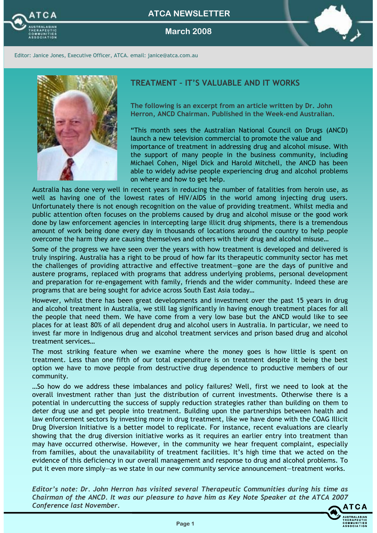

March 2008



Editor: Janice Jones, Executive Officer, ATCA. email: janice@atca.com.au



## TREATMENT – IT'S VALUABLE AND IT WORKS

The following is an excerpt from an article written by Dr. John Herron, ANCD Chairman. Published in the Week-end Australian.

"This month sees the Australian National Council on Drugs (ANCD) launch a new television commercial to promote the value and importance of treatment in addressing drug and alcohol misuse. With the support of many people in the business community, including Michael Cohen, Nigel Dick and Harold Mitchell, the ANCD has been able to widely advise people experiencing drug and alcohol problems on where and how to get help.

Australia has done very well in recent years in reducing the number of fatalities from heroin use, as well as having one of the lowest rates of HIV/AIDS in the world among injecting drug users. Unfortunately there is not enough recognition on the value of providing treatment. Whilst media and public attention often focuses on the problems caused by drug and alcohol misuse or the good work done by law enforcement agencies in intercepting large illicit drug shipments, there is a tremendous amount of work being done every day in thousands of locations around the country to help people overcome the harm they are causing themselves and others with their drug and alcohol misuse…

Some of the progress we have seen over the years with how treatment is developed and delivered is truly inspiring. Australia has a right to be proud of how far its therapeutic community sector has met the challenges of providing attractive and effective treatment—gone are the days of punitive and austere programs, replaced with programs that address underlying problems, personal development and preparation for re-engagement with family, friends and the wider community. Indeed these are programs that are being sought for advice across South East Asia today…

However, whilst there has been great developments and investment over the past 15 years in drug and alcohol treatment in Australia, we still lag significantly in having enough treatment places for all the people that need them. We have come from a very low base but the ANCD would like to see places for at least 80% of all dependent drug and alcohol users in Australia. In particular, we need to invest far more in Indigenous drug and alcohol treatment services and prison based drug and alcohol treatment services…

The most striking feature when we examine where the money goes is how little is spent on treatment. Less than one fifth of our total expenditure is on treatment despite it being the best option we have to move people from destructive drug dependence to productive members of our community.

…So how do we address these imbalances and policy failures? Well, first we need to look at the overall investment rather than just the distribution of current investments. Otherwise there is a potential in undercutting the success of supply reduction strategies rather than building on them to deter drug use and get people into treatment. Building upon the partnerships between health and law enforcement sectors by investing more in drug treatment, like we have done with the COAG Illicit Drug Diversion Initiative is a better model to replicate. For instance, recent evaluations are clearly showing that the drug diversion initiative works as it requires an earlier entry into treatment than may have occurred otherwise. However, in the community we hear frequent complaint, especially from families, about the unavailability of treatment facilities. It's high time that we acted on the evidence of this deficiency in our overall management and response to drug and alcohol problems. To put it even more simply—as we state in our new community service announcement—treatment works.

Editor's note: Dr. John Herron has visited several Therapeutic Communities during his time as Chairman of the ANCD. It was our pleasure to have him as Key Note Speaker at the ATCA 2007 Conference last November.

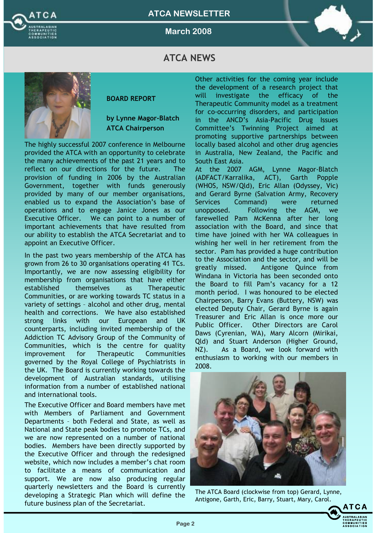

March 2008



# **ATCA NEWS**



### BOARD REPORT

## by Lynne Magor-Blatch ATCA Chairperson

The highly successful 2007 conference in Melbourne provided the ATCA with an opportunity to celebrate the many achievements of the past 21 years and to reflect on our directions for the future. The provision of funding in 2006 by the Australian Government, together with funds generously provided by many of our member organisations, enabled us to expand the Association's base of operations and to engage Janice Jones as our Executive Officer. We can point to a number of important achievements that have resulted from our ability to establish the ATCA Secretariat and to appoint an Executive Officer.

In the past two years membership of the ATCA has grown from 26 to 30 organisations operating 41 TCs. Importantly, we are now assessing eligibility for membership from organisations that have either established themselves as Therapeutic Communities, or are working towards TC status in a variety of settings – alcohol and other drug, mental health and corrections. We have also established strong links with our European and UK counterparts, including invited membership of the Addiction TC Advisory Group of the Community of Communities, which is the centre for quality improvement for Therapeutic Communities governed by the Royal College of Psychiatrists in the UK. The Board is currently working towards the development of Australian standards, utilising information from a number of established national and international tools.

The Executive Officer and Board members have met with Members of Parliament and Government Departments – both Federal and State, as well as National and State peak bodies to promote TCs, and we are now represented on a number of national bodies. Members have been directly supported by the Executive Officer and through the redesigned website, which now includes a member's chat room to facilitate a means of communication and support. We are now also producing regular quarterly newsletters and the Board is currently developing a Strategic Plan which will define the future business plan of the Secretariat.

Other activities for the coming year include the development of a research project that will investigate the efficacy of the Therapeutic Community model as a treatment for co-occurring disorders, and participation in the ANCD's Asia-Pacific Drug Issues Committee's Twinning Project aimed at promoting supportive partnerships between locally based alcohol and other drug agencies in Australia, New Zealand, the Pacific and South East Asia.

At the 2007 AGM, Lynne Magor-Blatch (ADFACT/Karralika, ACT), Garth Popple (WHOS, NSW/Qld), Eric Allan (Odyssey, Vic) and Gerard Byrne (Salvation Army, Recovery Services Command) were returned unopposed. Following the AGM, we farewelled Pam McKenna after her long association with the Board, and since that time have joined with her WA colleagues in wishing her well in her retirement from the sector. Pam has provided a huge contribution to the Association and the sector, and will be greatly missed. Antigone Quince from Windana in Victoria has been seconded onto the Board to fill Pam's vacancy for a 12 month period. I was honoured to be elected Chairperson, Barry Evans (Buttery, NSW) was elected Deputy Chair, Gerard Byrne is again Treasurer and Eric Allan is once more our Public Officer. Other Directors are Carol Daws (Cyrenian, WA), Mary Alcorn (Mirikai, Qld) and Stuart Anderson (Higher Ground, NZ). As a Board, we look forward with enthusiasm to working with our members in 2008.



The ATCA Board (clockwise from top) Gerard, Lynne, Antigone, Garth, Eric, Barry, Stuart, Mary, Carol.

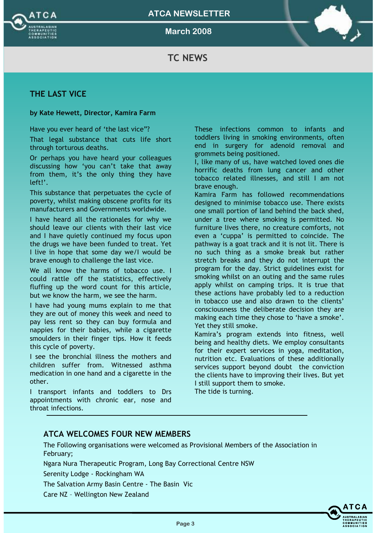



March 2008



# TC NEWS

## THE LAST VICE

### by Kate Hewett, Director, Kamira Farm

Have you ever heard of 'the last vice"?

That legal substance that cuts life short through torturous deaths.

Or perhaps you have heard your colleagues discussing how 'you can't take that away from them, it's the only thing they have left!'.

This substance that perpetuates the cycle of poverty, whilst making obscene profits for its manufacturers and Governments worldwide.

I have heard all the rationales for why we should leave our clients with their last vice and I have quietly continued my focus upon the drugs we have been funded to treat. Yet I live in hope that some day we/I would be brave enough to challenge the last vice.

We all know the harms of tobacco use. I could rattle off the statistics, effectively fluffing up the word count for this article, but we know the harm, we see the harm.

I have had young mums explain to me that they are out of money this week and need to pay less rent so they can buy formula and nappies for their babies, while a cigarette smoulders in their finger tips. How it feeds this cycle of poverty.

I see the bronchial illness the mothers and children suffer from. Witnessed asthma medication in one hand and a cigarette in the other.

I transport infants and toddlers to Drs appointments with chronic ear, nose and throat infections.

These infections common to infants and toddlers living in smoking environments, often end in surgery for adenoid removal and grommets being positioned.

I, like many of us, have watched loved ones die horrific deaths from lung cancer and other tobacco related illnesses, and still I am not brave enough.

Kamira Farm has followed recommendations designed to minimise tobacco use. There exists one small portion of land behind the back shed, under a tree where smoking is permitted. No furniture lives there, no creature comforts, not even a 'cuppa' is permitted to coincide. The pathway is a goat track and it is not lit. There is no such thing as a smoke break but rather stretch breaks and they do not interrupt the program for the day. Strict guidelines exist for smoking whilst on an outing and the same rules apply whilst on camping trips. It is true that these actions have probably led to a reduction in tobacco use and also drawn to the clients' consciousness the deliberate decision they are making each time they chose to 'have a smoke'. Yet they still smoke.

Kamira's program extends into fitness, well being and healthy diets. We employ consultants for their expert services in yoga, meditation, nutrition etc. Evaluations of these additionally services support beyond doubt the conviction the clients have to improving their lives. But yet I still support them to smoke.

The tide is turning.

## ATCA WELCOMES FOUR NEW MEMBERS

The Following organisations were welcomed as Provisional Members of the Association in February;

Ngara Nura Therapeutic Program, Long Bay Correctional Centre NSW

Serenity Lodge - Rockingham WA

The Salvation Army Basin Centre - The Basin Vic

Care NZ – Wellington New Zealand

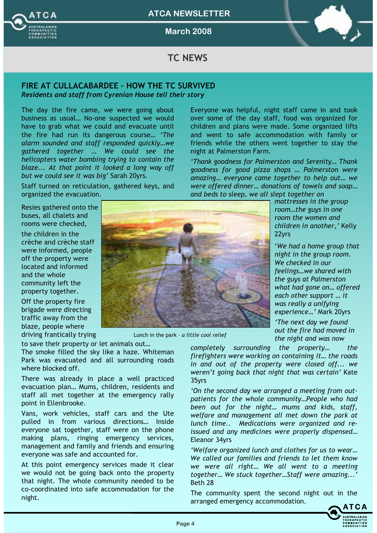

March 2008



# TC NEWS

# FIRE AT CULLACABARDEE – HOW THE TC SURVIVED

Residents and staff from Cyrenian House tell their story

The day the fire came, we were going about business as usual… No-one suspected we would have to grab what we could and evacuate until the fire had run its dangerous course… 'The alarm sounded and staff responded quickly…we gathered together … We could see the helicopters water bombing trying to contain the blaze... At that point it looked a long way off but we could see it was big' Sarah 20yrs.

Staff turned on reticulation, gathered keys, and organized the evacuation.

Resies gathered onto the buses, all chalets and rooms were checked,

the children in the crèche and crèche staff were informed, people off the property were located and informed and the whole community left the property together.

Off the property fire brigade were directing traffic away from the blaze, people where driving frantically trying

to save their property or let animals out… The smoke filled the sky like a haze. Whiteman Park was evacuated and all surrounding roads where blocked off.

There was already in place a well practiced evacuation plan… Mums, children, residents and staff all met together at the emergency rally point in Ellenbrooke.

Vans, work vehicles, staff cars and the Ute pulled in from various directions… Inside everyone sat together, staff were on the phone making plans, ringing emergency services, management and family and friends and ensuring everyone was safe and accounted for.

At this point emergency services made it clear we would not be going back onto the property that night. The whole community needed to be co-coordinated into safe accommodation for the night.

Lunch in the park – a little cool relief

the night and was now completely surrounding the property… the firefighters were working on containing it… the roads in and out of the property were closed off... we weren't going back that night that was certain' Kate 35yrs

'On the second day we arranged a meeting from outpatients for the whole community…People who had been out for the night… mums and kids, staff, welfare and management all met down the park at lunch time.. Medications were organized and reissued and any medicines were properly dispensed… Eleanor 34yrs

'Welfare organized lunch and clothes for us to wear… We called our families and friends to let them know we were all right… We all went to a meeting together… We stuck together…Staff were amazing...' Beth 28

The community spent the second night out in the arranged emergency accommodation.



over some of the day staff, food was organized for children and plans were made. Some organized lifts and went to safe accommodation with family or friends while the others went together to stay the night at Palmerston Farm. 'Thank goodness for Palmerston and Serenity… Thank

Everyone was helpful, night staff came in and took

goodness for good pizza shops … Palmerston were amazing… everyone came together to help out… we were offered dinner… donations of towels and soap… and beds to sleep, we all slept together on

> mattresses in the group room…the guys in one room the women and children in another,' Kelly 22yrs

'We had a home group that night in the group room. We checked in our feelings…we shared with the guys at Palmerston what had gone on… offered each other support … it was really a unifying experience…' Mark 20yrs

'The next day we found out the fire had moved in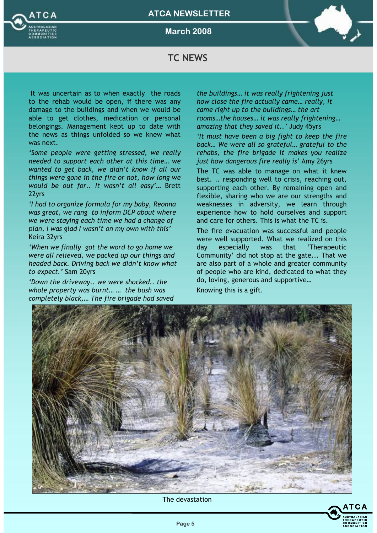



March 2008



# TC NEWS

It was uncertain as to when exactly the roads to the rehab would be open, if there was any damage to the buildings and when we would be able to get clothes, medication or personal belongings. Management kept up to date with the news as things unfolded so we knew what was next.

'Some people were getting stressed, we really needed to support each other at this time… we wanted to get back, we didn't know if all our things were gone in the fire or not, how long we would be out for.. It wasn't all easy'… Brett 22yrs

'I had to organize formula for my baby, Reonna was great, we rang to inform DCP about where we were staying each time we had a change of plan, I was glad I wasn't on my own with this' Keira 32yrs

'When we finally got the word to go home we were all relieved, we packed up our things and headed back. Driving back we didn't know what to expect.' Sam 20yrs

'Down the driveway.. we were shocked.. the whole property was burnt… … the bush was completely black,… The fire brigade had saved the buildings… it was really frightening just how close the fire actually came… really, it came right up to the buildings… the art rooms…the houses… it was really frightening… amazing that they saved it..' Judy 45yrs

'It must have been a big fight to keep the fire back… We were all so grateful… grateful to the rehabs, the fire brigade it makes you realize just how dangerous fire really is' Amy 26yrs

The TC was able to manage on what it knew best. .. responding well to crisis, reaching out, supporting each other. By remaining open and flexible, sharing who we are our strengths and weaknesses in adversity, we learn through experience how to hold ourselves and support and care for others. This is what the TC is.

The fire evacuation was successful and people were well supported. What we realized on this day especially was that 'Therapeutic Community' did not stop at the gate... That we are also part of a whole and greater community of people who are kind, dedicated to what they do, loving, generous and supportive…

Knowing this is a gift.



The devastation

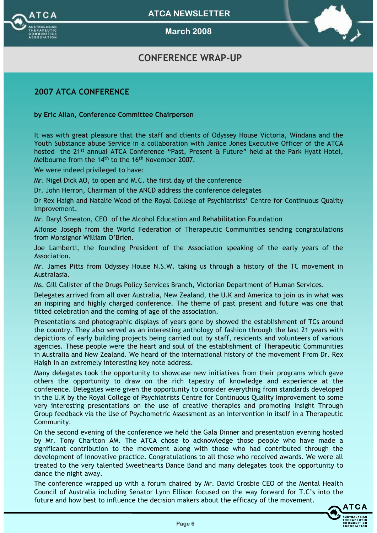

March 2008

# CONFERENCE WRAP-UP

## 2007 ATCA CONFERENCE

### by Eric Allan, Conference Committee Chairperson

It was with great pleasure that the staff and clients of Odyssey House Victoria, Windana and the Youth Substance abuse Service in a collaboration with Janice Jones Executive Officer of the ATCA hosted the 21<sup>st</sup> annual ATCA Conference "Past, Present & Future" held at the Park Hyatt Hotel, Melbourne from the 14th to the 16th November 2007.

We were indeed privileged to have:

Mr. Nigel Dick AO, to open and M.C. the first day of the conference

Dr. John Herron, Chairman of the ANCD address the conference delegates

Dr Rex Haigh and Natalie Wood of the Royal College of Psychiatrists' Centre for Continuous Quality Improvement.

Mr. Daryl Smeaton, CEO of the Alcohol Education and Rehabilitation Foundation

Alfonse Joseph from the World Federation of Therapeutic Communities sending congratulations from Monsignor William O'Brien.

Joe Lamberti, the founding President of the Association speaking of the early years of the Association.

Mr. James Pitts from Odyssey House N.S.W. taking us through a history of the TC movement in Australasia.

Ms. Gill Calister of the Drugs Policy Services Branch, Victorian Department of Human Services.

Delegates arrived from all over Australia, New Zealand, the U.K and America to join us in what was an inspiring and highly charged conference. The theme of past present and future was one that fitted celebration and the coming of age of the association.

Presentations and photographic displays of years gone by showed the establishment of TCs around the country. They also served as an interesting anthology of fashion through the last 21 years with depictions of early building projects being carried out by staff, residents and volunteers of various agencies. These people were the heart and soul of the establishment of Therapeutic Communities in Australia and New Zealand. We heard of the international history of the movement From Dr. Rex Haigh in an extremely interesting key note address.

Many delegates took the opportunity to showcase new initiatives from their programs which gave others the opportunity to draw on the rich tapestry of knowledge and experience at the conference. Delegates were given the opportunity to consider everything from standards developed in the U.K by the Royal College of Psychiatrists Centre for Continuous Quality Improvement to some very interesting presentations on the use of creative therapies and promoting Insight Through Group feedback via the Use of Psychometric Assessment as an intervention in itself in a Therapeutic Community.

On the second evening of the conference we held the Gala Dinner and presentation evening hosted by Mr. Tony Charlton AM. The ATCA chose to acknowledge those people who have made a significant contribution to the movement along with those who had contributed through the development of innovative practice. Congratulations to all those who received awards. We were all treated to the very talented Sweethearts Dance Band and many delegates took the opportunity to dance the night away.

The conference wrapped up with a forum chaired by Mr. David Crosbie CEO of the Mental Health Council of Australia including Senator Lynn Ellison focused on the way forward for T.C's into the future and how best to influence the decision makers about the efficacy of the movement.

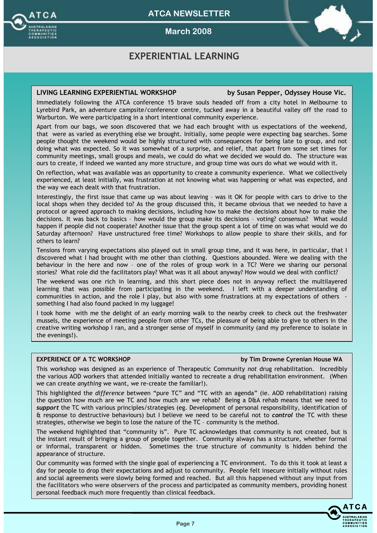

March 2008

# EXPERIENTIAL LEARNING

### LIVING LEARNING EXPERIENTIAL WORKSHOP by Susan Pepper, Odyssey House Vic.

Immediately following the ATCA conference 15 brave souls headed off from a city hotel in Melbourne to Lyrebird Park, an adventure campsite/conference centre, tucked away in a beautiful valley off the road to Warburton. We were participating in a short intentional community experience.

Apart from our bags, we soon discovered that we had each brought with us expectations of the weekend, that were as varied as everything else we brought. Initially, some people were expecting bag searches. Some people thought the weekend would be highly structured with consequences for being late to group, and not doing what was expected. So it was somewhat of a surprise, and relief, that apart from some set times for community meetings, small groups and meals, we could do what we decided we would do. The structure was ours to create, if indeed we wanted any more structure, and group time was ours do what we would with it.

On reflection, what was available was an opportunity to create a community experience. What we collectively experienced, at least initially, was frustration at not knowing what was happening or what was expected, and the way we each dealt with that frustration.

Interestingly, the first issue that came up was about leaving – was it OK for people with cars to drive to the local shops when they decided to? As the group discussed this, it became obvious that we needed to have a protocol or agreed approach to making decisions, including how to make the decisions about how to make the decisions. It was back to basics – how would the group make its decisions – voting? consensus? What would happen if people did not cooperate? Another issue that the group spent a lot of time on was what would we do Saturday afternoon? Have unstructured free time? Workshops to allow people to share their skills, and for others to learn?

Tensions from varying expectations also played out in small group time, and it was here, in particular, that I discovered what I had brought with me other than clothing. Questions abounded. Were we dealing with the behaviour in the here and now – one of the roles of group work in a TC? Were we sharing our personal stories? What role did the facilitators play? What was it all about anyway? How would we deal with conflict?

The weekend was one rich in learning, and this short piece does not in anyway reflect the multilayered learning that was possible from participating in the weekend. I left with a deeper understanding of communities in action, and the role I play, but also with some frustrations at my expectations of others something I had also found packed in my luggage!

I took home with me the delight of an early morning walk to the nearby creek to check out the freshwater mussels, the experience of meeting people from other TCs, the pleasure of being able to give to others in the creative writing workshop I ran, and a stronger sense of myself in community (and my preference to isolate in the evenings!).

### EXPERIENCE OF A TC WORKSHOP by Tim Drowne Cyrenian House WA

This workshop was designed as an experience of Therapeutic Community not drug rehabilitation. Incredibly the various AOD workers that attended initially wanted to recreate a drug rehabilitation environment. (When we can create anything we want, we re-create the familiar!).

This highlighted the difference between "pure TC" and "TC with an agenda" (ie. AOD rehabilitation) raising the question how much are we TC and how much are we rehab? Being a D&A rehab means that we need to support the TC with various principles/strategies (eg. Development of personal responsibility, identification of & response to destructive behaviours) but I believe we need to be careful not to control the TC with these strategies, otherwise we begin to lose the nature of the TC – community is the method.

The weekend highlighted that "community is". Pure TC acknowledges that community is not created, but is the instant result of bringing a group of people together. Community always has a structure, whether formal or informal, transparent or hidden. Sometimes the true structure of community is hidden behind the appearance of structure.

Our community was formed with the single goal of experiencing a TC environment. To do this it took at least a day for people to drop their expectations and adjust to community. People felt insecure initially without rules and social agreements were slowly being formed and reached. But all this happened without any input from the facilitators who were observers of the process and participated as community members, providing honest personal feedback much more frequently than clinical feedback.